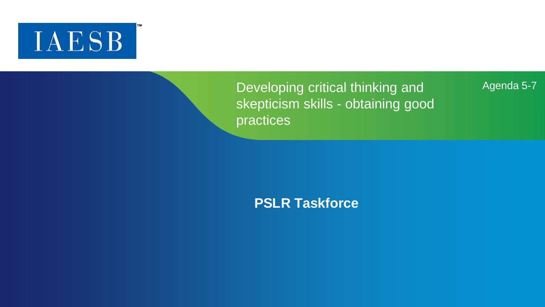# **IAESB**

Developing critical thinking and skepticism skills - obtaining good practices

#### Agenda 5-7

**PSLR Taskforce**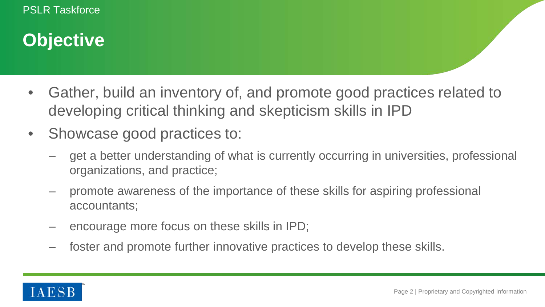### **Objective**

- Gather, build an inventory of, and promote good practices related to developing critical thinking and skepticism skills in IPD
- Showcase good practices to:
	- get a better understanding of what is currently occurring in universities, professional organizations, and practice;
	- promote awareness of the importance of these skills for aspiring professional accountants;
	- encourage more focus on these skills in IPD;
	- foster and promote further innovative practices to develop these skills.

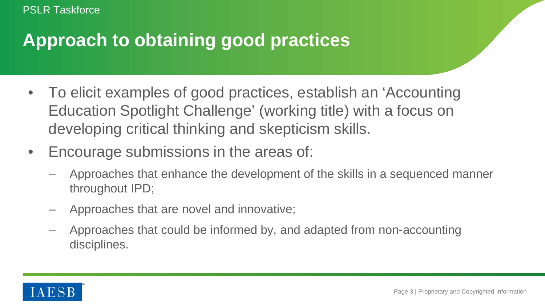#### **Approach to obtaining good practices**

- To elicit examples of good practices, establish an 'Accounting Education Spotlight Challenge' (working title) with a focus on developing critical thinking and skepticism skills.
- Encourage submissions in the areas of:
	- Approaches that enhance the development of the skills in a sequenced manner throughout IPD;
	- Approaches that are novel and innovative;
	- Approaches that could be informed by, and adapted from non-accounting disciplines.

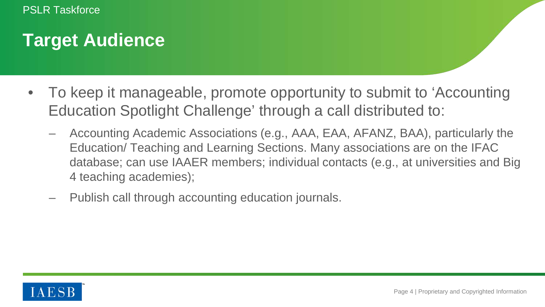### **Target Audience**

- To keep it manageable, promote opportunity to submit to 'Accounting Education Spotlight Challenge' through a call distributed to:
	- Accounting Academic Associations (e.g., AAA, EAA, AFANZ, BAA), particularly the Education/ Teaching and Learning Sections. Many associations are on the IFAC database; can use IAAER members; individual contacts (e.g., at universities and Big 4 teaching academies);
	- Publish call through accounting education journals.

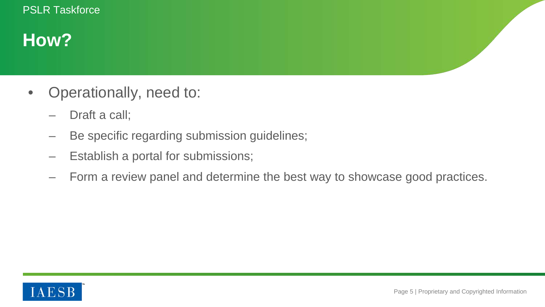### **How?**

- Operationally, need to:
	- Draft a call;
	- Be specific regarding submission guidelines;
	- Establish a portal for submissions;
	- Form a review panel and determine the best way to showcase good practices.

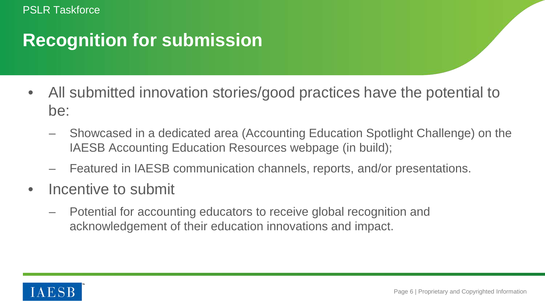#### **Recognition for submission**

- All submitted innovation stories/good practices have the potential to be:
	- Showcased in a dedicated area (Accounting Education Spotlight Challenge) on the IAESB Accounting Education Resources webpage (in build);
	- Featured in IAESB communication channels, reports, and/or presentations.
- Incentive to submit
	- Potential for accounting educators to receive global recognition and acknowledgement of their education innovations and impact.